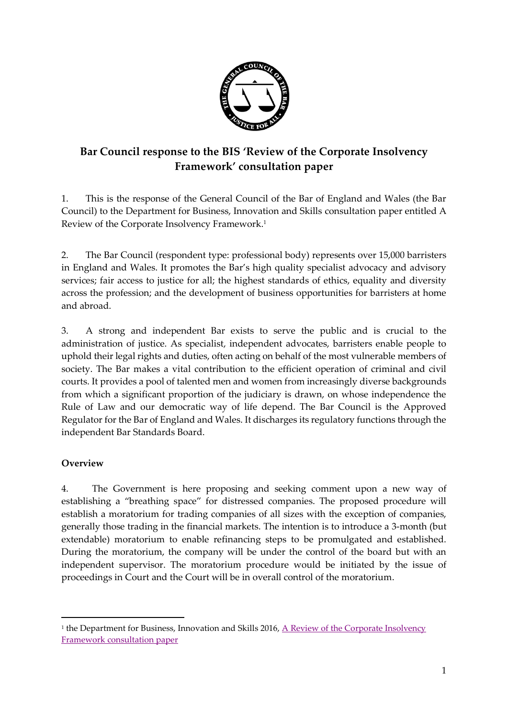

# **Bar Council response to the BIS 'Review of the Corporate Insolvency Framework' consultation paper**

1. This is the response of the General Council of the Bar of England and Wales (the Bar Council) to the Department for Business, Innovation and Skills consultation paper entitled A Review of the Corporate Insolvency Framework. 1

2. The Bar Council (respondent type: professional body) represents over 15,000 barristers in England and Wales. It promotes the Bar's high quality specialist advocacy and advisory services; fair access to justice for all; the highest standards of ethics, equality and diversity across the profession; and the development of business opportunities for barristers at home and abroad.

3. A strong and independent Bar exists to serve the public and is crucial to the administration of justice. As specialist, independent advocates, barristers enable people to uphold their legal rights and duties, often acting on behalf of the most vulnerable members of society. The Bar makes a vital contribution to the efficient operation of criminal and civil courts. It provides a pool of talented men and women from increasingly diverse backgrounds from which a significant proportion of the judiciary is drawn, on whose independence the Rule of Law and our democratic way of life depend. The Bar Council is the Approved Regulator for the Bar of England and Wales. It discharges its regulatory functions through the independent Bar Standards Board.

### **Overview**

 $\overline{a}$ 

4. The Government is here proposing and seeking comment upon a new way of establishing a "breathing space" for distressed companies. The proposed procedure will establish a moratorium for trading companies of all sizes with the exception of companies, generally those trading in the financial markets. The intention is to introduce a 3-month (but extendable) moratorium to enable refinancing steps to be promulgated and established. During the moratorium, the company will be under the control of the board but with an independent supervisor. The moratorium procedure would be initiated by the issue of proceedings in Court and the Court will be in overall control of the moratorium.

<sup>&</sup>lt;sup>1</sup> the Department for Business, Innovation and Skills 2016, <u>A Review of the Corporate Insolvency</u> [Framework consultation paper](https://www.gov.uk/government/consultations/a-review-of-the-corporate-insolvency-framework)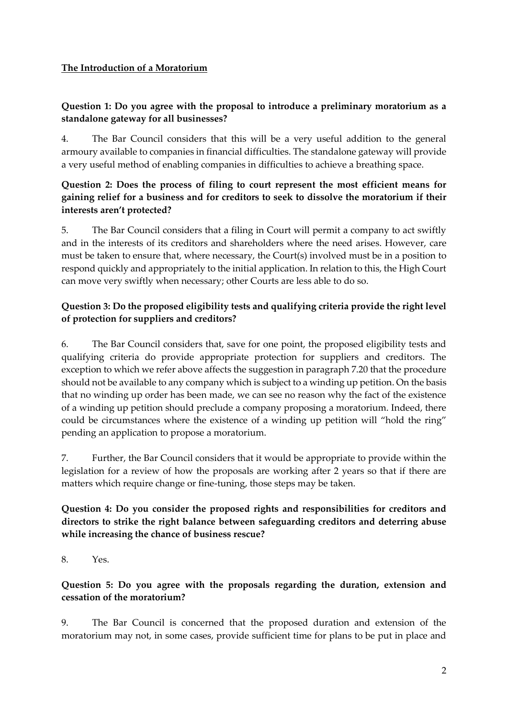#### **The Introduction of a Moratorium**

#### **Question 1: Do you agree with the proposal to introduce a preliminary moratorium as a standalone gateway for all businesses?**

4. The Bar Council considers that this will be a very useful addition to the general armoury available to companies in financial difficulties. The standalone gateway will provide a very useful method of enabling companies in difficulties to achieve a breathing space.

#### **Question 2: Does the process of filing to court represent the most efficient means for gaining relief for a business and for creditors to seek to dissolve the moratorium if their interests aren't protected?**

5. The Bar Council considers that a filing in Court will permit a company to act swiftly and in the interests of its creditors and shareholders where the need arises. However, care must be taken to ensure that, where necessary, the Court(s) involved must be in a position to respond quickly and appropriately to the initial application. In relation to this, the High Court can move very swiftly when necessary; other Courts are less able to do so.

### **Question 3: Do the proposed eligibility tests and qualifying criteria provide the right level of protection for suppliers and creditors?**

6. The Bar Council considers that, save for one point, the proposed eligibility tests and qualifying criteria do provide appropriate protection for suppliers and creditors. The exception to which we refer above affects the suggestion in paragraph 7.20 that the procedure should not be available to any company which is subject to a winding up petition. On the basis that no winding up order has been made, we can see no reason why the fact of the existence of a winding up petition should preclude a company proposing a moratorium. Indeed, there could be circumstances where the existence of a winding up petition will "hold the ring" pending an application to propose a moratorium.

7. Further, the Bar Council considers that it would be appropriate to provide within the legislation for a review of how the proposals are working after 2 years so that if there are matters which require change or fine-tuning, those steps may be taken.

#### **Question 4: Do you consider the proposed rights and responsibilities for creditors and directors to strike the right balance between safeguarding creditors and deterring abuse while increasing the chance of business rescue?**

8. Yes.

#### **Question 5: Do you agree with the proposals regarding the duration, extension and cessation of the moratorium?**

9. The Bar Council is concerned that the proposed duration and extension of the moratorium may not, in some cases, provide sufficient time for plans to be put in place and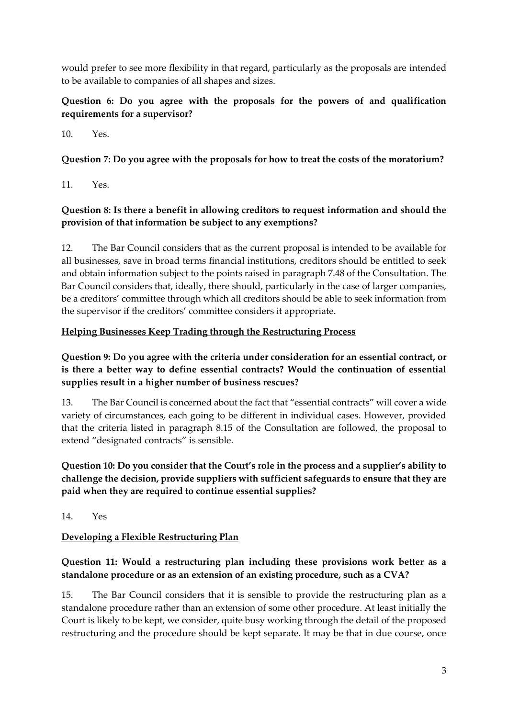would prefer to see more flexibility in that regard, particularly as the proposals are intended to be available to companies of all shapes and sizes.

### **Question 6: Do you agree with the proposals for the powers of and qualification requirements for a supervisor?**

10. Yes.

## **Question 7: Do you agree with the proposals for how to treat the costs of the moratorium?**

11. Yes.

## **Question 8: Is there a benefit in allowing creditors to request information and should the provision of that information be subject to any exemptions?**

12. The Bar Council considers that as the current proposal is intended to be available for all businesses, save in broad terms financial institutions, creditors should be entitled to seek and obtain information subject to the points raised in paragraph 7.48 of the Consultation. The Bar Council considers that, ideally, there should, particularly in the case of larger companies, be a creditors' committee through which all creditors should be able to seek information from the supervisor if the creditors' committee considers it appropriate.

### **Helping Businesses Keep Trading through the Restructuring Process**

### **Question 9: Do you agree with the criteria under consideration for an essential contract, or is there a better way to define essential contracts? Would the continuation of essential supplies result in a higher number of business rescues?**

13. The Bar Council is concerned about the fact that "essential contracts" will cover a wide variety of circumstances, each going to be different in individual cases. However, provided that the criteria listed in paragraph 8.15 of the Consultation are followed, the proposal to extend "designated contracts" is sensible.

## **Question 10: Do you consider that the Court's role in the process and a supplier's ability to challenge the decision, provide suppliers with sufficient safeguards to ensure that they are paid when they are required to continue essential supplies?**

14. Yes

# **Developing a Flexible Restructuring Plan**

### **Question 11: Would a restructuring plan including these provisions work better as a standalone procedure or as an extension of an existing procedure, such as a CVA?**

15. The Bar Council considers that it is sensible to provide the restructuring plan as a standalone procedure rather than an extension of some other procedure. At least initially the Court is likely to be kept, we consider, quite busy working through the detail of the proposed restructuring and the procedure should be kept separate. It may be that in due course, once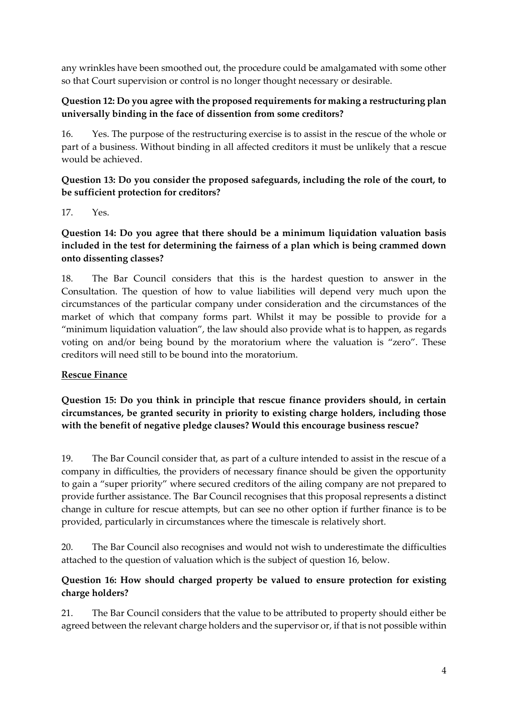any wrinkles have been smoothed out, the procedure could be amalgamated with some other so that Court supervision or control is no longer thought necessary or desirable.

#### **Question 12: Do you agree with the proposed requirements for making a restructuring plan universally binding in the face of dissention from some creditors?**

16. Yes. The purpose of the restructuring exercise is to assist in the rescue of the whole or part of a business. Without binding in all affected creditors it must be unlikely that a rescue would be achieved.

#### **Question 13: Do you consider the proposed safeguards, including the role of the court, to be sufficient protection for creditors?**

17. Yes.

### **Question 14: Do you agree that there should be a minimum liquidation valuation basis included in the test for determining the fairness of a plan which is being crammed down onto dissenting classes?**

18. The Bar Council considers that this is the hardest question to answer in the Consultation. The question of how to value liabilities will depend very much upon the circumstances of the particular company under consideration and the circumstances of the market of which that company forms part. Whilst it may be possible to provide for a "minimum liquidation valuation", the law should also provide what is to happen, as regards voting on and/or being bound by the moratorium where the valuation is "zero". These creditors will need still to be bound into the moratorium.

### **Rescue Finance**

**Question 15: Do you think in principle that rescue finance providers should, in certain circumstances, be granted security in priority to existing charge holders, including those with the benefit of negative pledge clauses? Would this encourage business rescue?**

19. The Bar Council consider that, as part of a culture intended to assist in the rescue of a company in difficulties, the providers of necessary finance should be given the opportunity to gain a "super priority" where secured creditors of the ailing company are not prepared to provide further assistance. The Bar Council recognises that this proposal represents a distinct change in culture for rescue attempts, but can see no other option if further finance is to be provided, particularly in circumstances where the timescale is relatively short.

20. The Bar Council also recognises and would not wish to underestimate the difficulties attached to the question of valuation which is the subject of question 16, below.

### **Question 16: How should charged property be valued to ensure protection for existing charge holders?**

21. The Bar Council considers that the value to be attributed to property should either be agreed between the relevant charge holders and the supervisor or, if that is not possible within